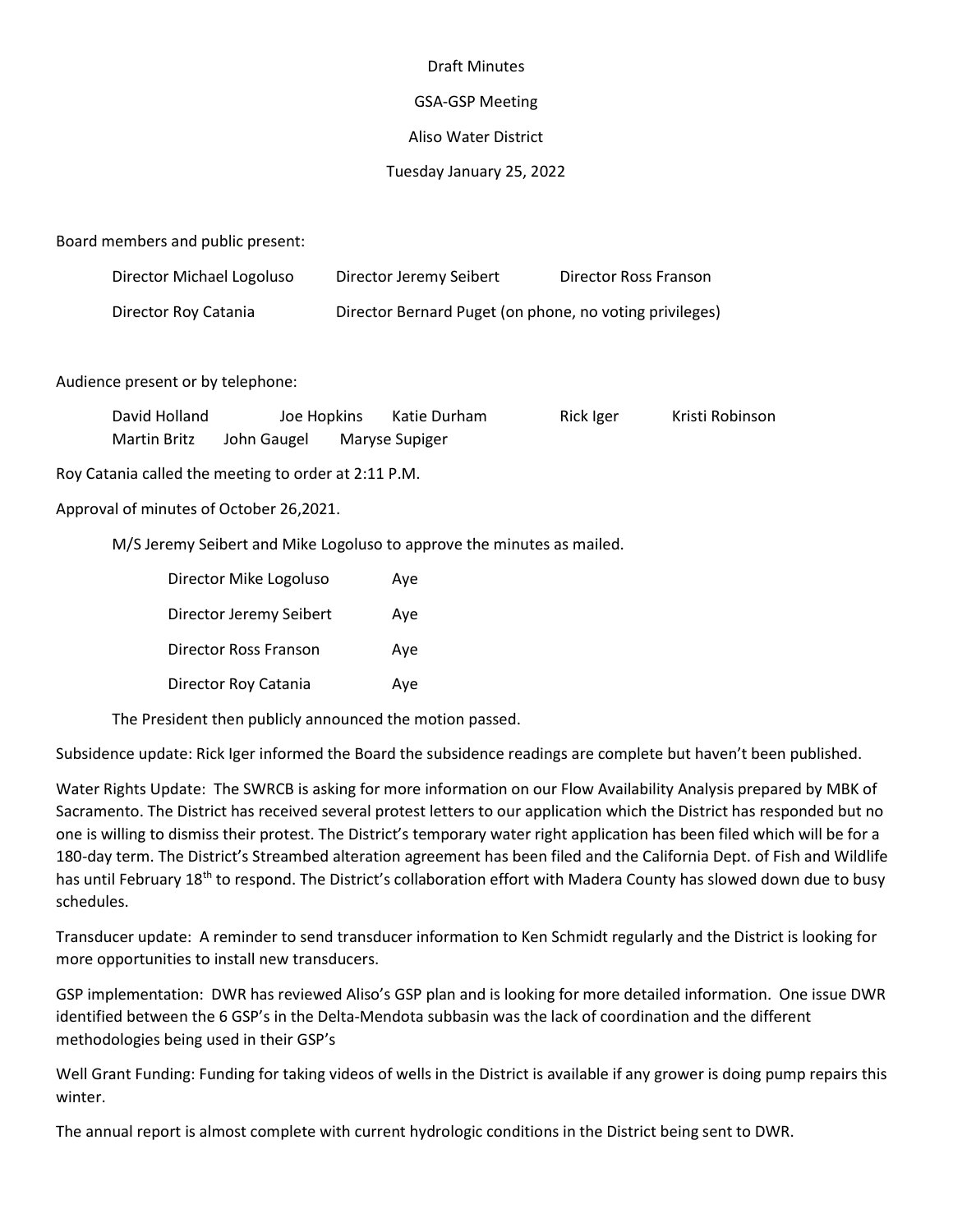## Draft Minutes

## GSA-GSP Meeting

## Aliso Water District

## Tuesday January 25, 2022

Board members and public present:

| Director Michael Logoluso | Director Jeremy Seibert                                 | Director Ross Franson |
|---------------------------|---------------------------------------------------------|-----------------------|
| Director Roy Catania      | Director Bernard Puget (on phone, no voting privileges) |                       |

Audience present or by telephone:

| David Holland       | Joe Hopkins | Katie Durham   | Rick Iger |  | Kristi Robinson |
|---------------------|-------------|----------------|-----------|--|-----------------|
| <b>Martin Britz</b> | John Gaugel | Maryse Supiger |           |  |                 |

Roy Catania called the meeting to order at 2:11 P.M.

Approval of minutes of October 26,2021.

M/S Jeremy Seibert and Mike Logoluso to approve the minutes as mailed.

| Director Mike Logoluso  | Aye |
|-------------------------|-----|
| Director Jeremy Seibert | Ave |
| Director Ross Franson   | Aye |
| Director Roy Catania    | Aye |

The President then publicly announced the motion passed.

Subsidence update: Rick Iger informed the Board the subsidence readings are complete but haven't been published.

Water Rights Update: The SWRCB is asking for more information on our Flow Availability Analysis prepared by MBK of Sacramento. The District has received several protest letters to our application which the District has responded but no one is willing to dismiss their protest. The District's temporary water right application has been filed which will be for a 180-day term. The District's Streambed alteration agreement has been filed and the California Dept. of Fish and Wildlife has until February 18<sup>th</sup> to respond. The District's collaboration effort with Madera County has slowed down due to busy schedules.

Transducer update: A reminder to send transducer information to Ken Schmidt regularly and the District is looking for more opportunities to install new transducers.

GSP implementation: DWR has reviewed Aliso's GSP plan and is looking for more detailed information. One issue DWR identified between the 6 GSP's in the Delta-Mendota subbasin was the lack of coordination and the different methodologies being used in their GSP's

Well Grant Funding: Funding for taking videos of wells in the District is available if any grower is doing pump repairs this winter.

The annual report is almost complete with current hydrologic conditions in the District being sent to DWR.